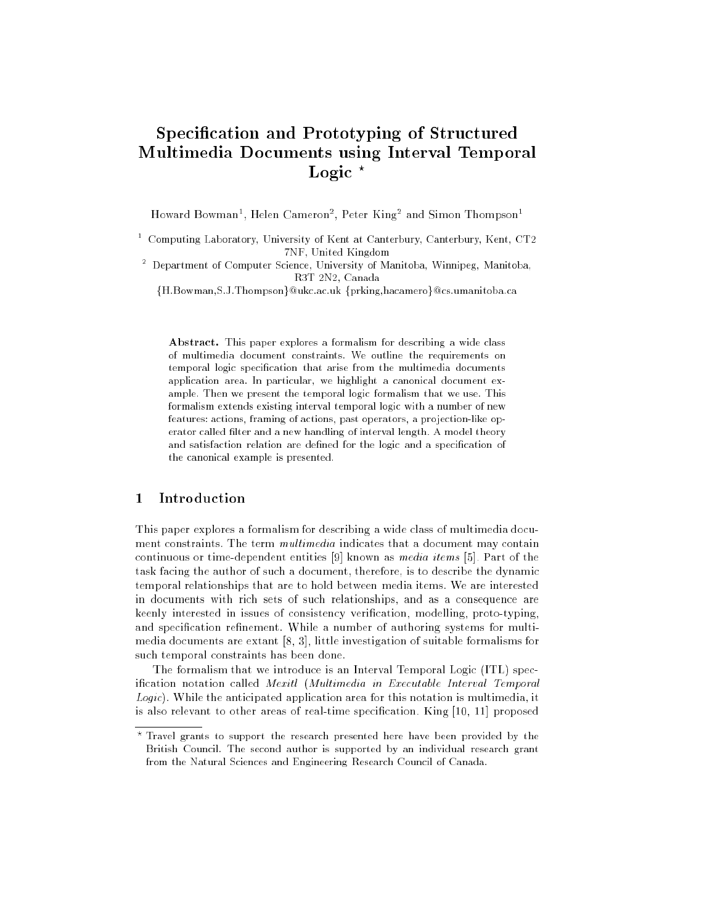# Specication and Prototyping of Structured Multimedia Documents using Interval Temporal Logic ?

Howard Bowman<sup>1</sup>. Helen Cameron<sup>2</sup>. Peter King<sup>2</sup> and Simon Thompson<sup>1</sup>

1 Computing Laboratory, University of Kent at Canterbury, Canterbury, Kent, CT2 7NF, United Kingdom

<sup>2</sup> Department of Computer Science, University of Manitoba, Winnipeg, Manitoba, R3T 2N2, Canada

 ${H.Bowman, S.J.Thompson}@ukc.ac.uk forking, hacamero}@cs.umanitoba.ca$ 

Abstract. This paper explores a formalism for describing a wide class of multimedia document constraints. We outline the requirements on temporal logic specification that arise from the multimedia documents application area. In particular, we highlight a canonical document example. Then we present the temporal logic formalism that we use. This formalism extends existing interval temporal logic with a number of new features: actions, framing of actions, past operators, a projection-like operator called filter and a new handling of interval length. A model theory and satisfaction relation are defined for the logic and a specification of the canonical example is presented.

#### **Introduction**  $\mathbf{1}$

This paper explores a formalism for describing a wide class of multimedia document constraints. The term multimedia indicates that a document may contain continuous or time-dependent entities [9] known as media items [5]. Part of the task facing the author of such a document, therefore, is to describe the dynamic temporal relationships that are to hold between media items. We are interested in documents with rich sets of such relationships, and as a consequence are keenly interested in issues of consistency verication, modelling, proto-typing, and specification refinement. While a number of authoring systems for multimedia documents are extant [8, 3], little investigation of suitable formalisms for such temporal constraints has been done.

The formalism that we introduce is an Interval Temporal Logic (ITL) specification notation called *Mexitl* (*Multimedia in Executable Interval Temporal*  $Logic)$ . While the anticipated application area for this notation is multimedia, it is also relevant to other areas of real-time specication. King [10, 11] proposed

Travel grants to support the research presented here have been provided by the British Council. The second author is supported by an individual research grant from the Natural Sciences and Engineering Research Council of Canada.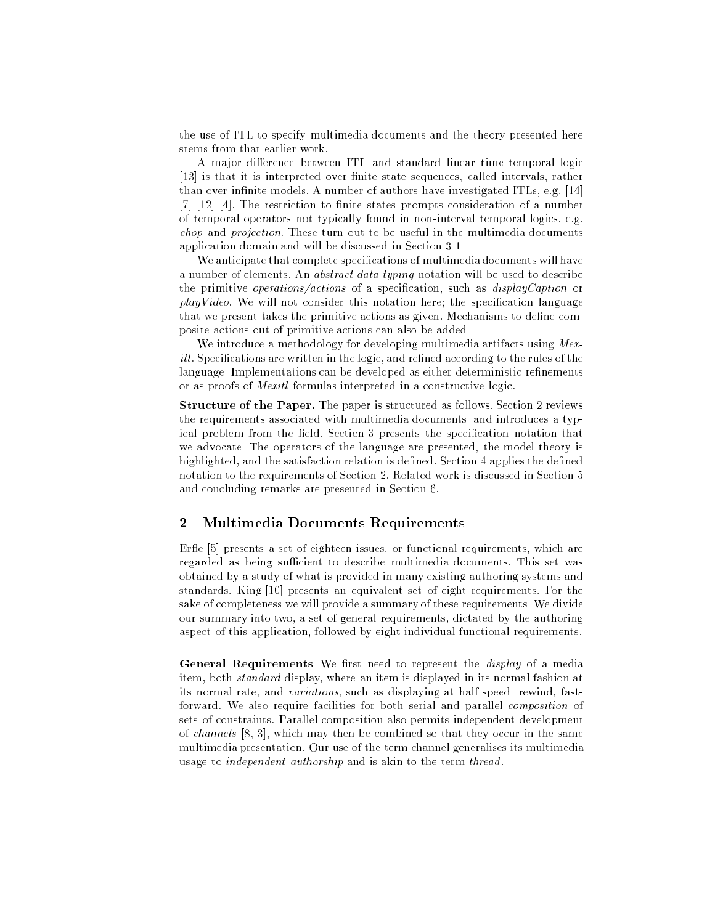the use of ITL to specify multimedia documents and the theory presented here stems from that earlier work.

A major difference between ITL and standard linear time temporal logic [13] is that it is interpreted over finite state sequences, called intervals, rather than over infinite models. A number of authors have investigated ITLs, e.g.  $[14]$  $[7]$   $[12]$   $[4]$ . The restriction to finite states prompts consideration of a number of temporal operators not typically found in non-interval temporal logics, e.g. chop and projection. These turns out to be useful in the multimedia documents of the multimedia application domain and will be discussed in Section 3.1.

We anticipate that complete specifications of multimedia documents will have a number of elements. An abstract data typing notation will be used to describe the primitive *operations/actions* of a specification, such as  $displayCaption$  or  $playVideo.$  We will not consider this notation here; the specification language that we present takes the primitive actions as given. Mechanisms to dene composite actions out of primitive actions can also be added.

We introduce a methodology for developing multimedia artifacts using  $Mer$ itl . Specications are written in the logic, and rened according to the rules of the language. Implementations can be developed as either deterministic refinements or as proofs of Mexitl formulas interpreted in a constructive logic.

Structure of the Paper. The paper is structured as follows. Section 2 reviews the requirements associated with multimedia documents, and introduces a typical problem from the field. Section 3 presents the specification notation that we advocate. The operators of the language are presented, the model theory is highlighted, and the satisfaction relation is defined. Section 4 applies the defined notation to the requirements of Section 2. Related work is discussed in Section 5 and concluding remarks are presented in Section 6.

#### $\overline{2}$ 2 Multimedia Documents Requirements

Erfle [5] presents a set of eighteen issues, or functional requirements, which are regarded as being sufficient to describe multimedia documents. This set was obtained by a study of what is provided in many existing authoring systems and standards. King [10] presents an equivalent set of eight requirements. For the sake of completeness we will provide a summary of these requirements. We divide our summary into two, a set of general requirements, dictated by the authoring aspect of this application, followed by eight individual functional requirements.

General Requirements We first need to represent the *display* of a media item, both standard display, where an item is displayed in its normal fashion at its normal rate, and variations, such as displaying at half speed, rewind, fastforward. We also require facilities for both serial and parallel composition of sets of constraints. Parallel composition also permits independent development of channels [8, 3], which may then be combined so that they occur in the same multimedia presentation. Our use of the term channel generalises its multimedia usage to *independent authorship* and is akin to the term *thread*.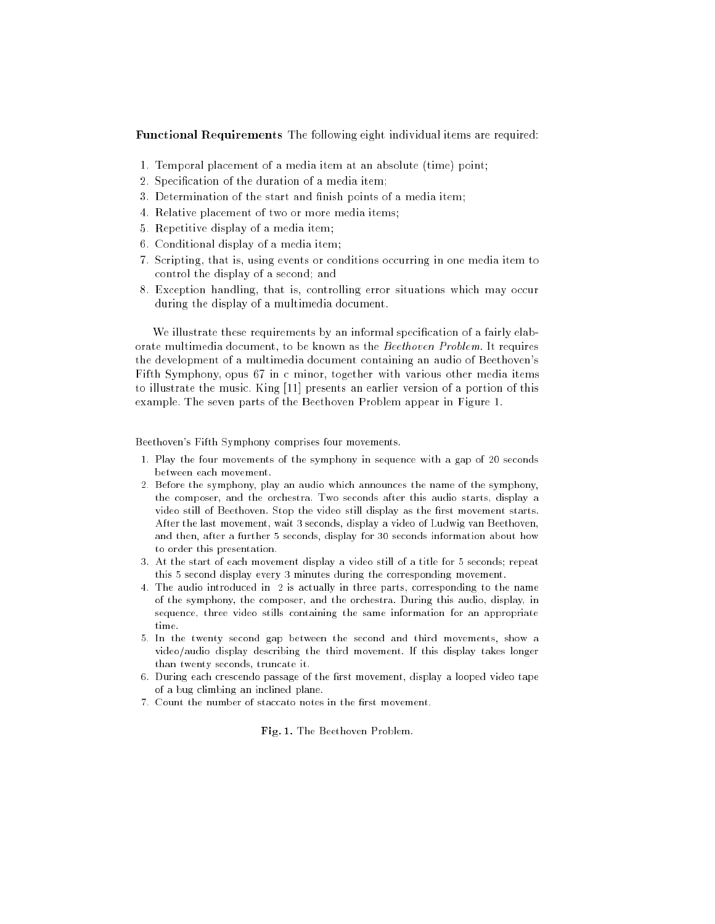Functional Requirements The following eight individual items are required:

- 1. Temporal placement of a media item at an absolute (time) point;
- 2. Specication of the duration of a media item;
- 3. Determination of the start and finish points of a media item;
- 4. Relative placement of two or more media items;
- 5. Repetitive display of a media item;
- 6. Conditional display of a media item;
- 7. Scripting, that is, using events or conditions occurring in one media item to control the display of a second; and
- 8. Exception handling, that is, controlling error situations which may occur during the display of a multimedia document.

We illustrate these requirements by an informal specification of a fairly elaborate multimedia document, to be known as the Beethoven Problem. It requires the development of a multimedia document containing an audio of Beethoven's Fifth Symphony, opus 67 in c minor, together with various other media items to illustrate the music. King [11] presents an earlier version of a portion of this example. The seven parts of the Beethoven Problem appear in Figure 1.

Beethoven's Fifth Symphony comprises four movements.

- 1. Play the four movements of the symphony in sequence with a gap of 20 seconds between each movement.
- 2. Before the symphony, play an audio which announces the name of the symphony, the composer, and the orchestra. Two seconds after this audio starts, display a video still of Beethoven. Stop the video still display as the first movement starts. After the last movement, wait 3 seconds, display a video of Ludwig van Beethoven, and then, after a further 5 seconds, display for 30 seconds information about how to order this presentation. to order the control of the control of the control of the control of the control of the control of the control of the control of the control of the control of the control of the control of the control of the control of the
- 3. At the start of each movement display a video still of a title for 5 seconds; repeat this 5 second display every 3 minutes during the corresponding movement.
- 4. The audio introduced in 2 is actually in three parts, corresponding to the name of the symphony, the composer, and the orchestra. During this audio, display, in sequence, three video stills containing the same information for an appropriate time.
- 5. In the twenty second gap between the second and third movements, show a video/audio display describing the third movement. If this display takes longer than twenty seconds, truncate it.
- 6. During each crescendo passage of the first movement, display a looped video tape of a bug climbing an inclined plane.
- 7. Count the number of staccato notes in the first movement.

Fig. 1. The Beethoven Problem.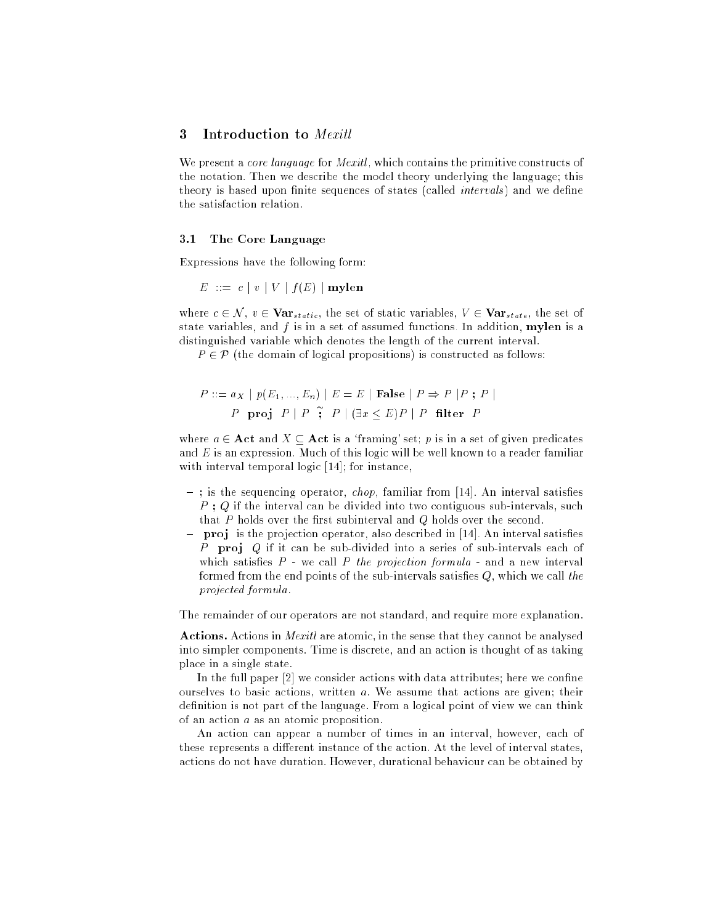## 3 Introduction to Mexitl

We present a *core language* for *Mexitl*, which contains the primitive constructs of the notation. Then we describe the model theory underlying the language; this theory is based upon finite sequences of states (called *intervals*) and we define the satisfaction relation.

#### 3.1 The Core Language

Expressions have the following form:

$$
E \ ::= \ c \ | \ v \ | \ V \ | \ f(E) \ | \ \textbf{mylen}
$$

where  $c \in \mathcal{N}$ ,  $v \in \mathbf{Var}_{static}$ , the set of static variables,  $V \in \mathbf{Var}_{state}$ , the set of state variables, and  $f$  is in a set of assumed functions. In addition, mylen is a distinguished variable which denotes the length of the current interval.

 $P \in \mathcal{P}$  (the domain of logical propositions) is constructed as follows:

$$
P ::= a_X \mid p(E_1, ..., E_n) \mid E = E \mid \text{False} \mid P \Rightarrow P \mid P ; P \mid P
$$
  

$$
P \text{ proj } P \mid P ; P \mid (\exists x < E) P \mid P \text{ filter } P
$$

where  $a \in \mathbf{Act}$  and  $X \subseteq \mathbf{Act}$  is a 'framing' set; p is in a set of given predicates and  $E$  is an expression. Much of this logic will be well known to a reader familiar with interval temporal logic [14]; for instance,

- $-$ ; is the sequencing operator, *chop*, familiar from [14]. An interval satisfies  $P$ ;  $Q$  if the interval can be divided into two contiguous sub-intervals, such that  $P$  holds over the first subinterval and  $Q$  holds over the second.
- $=$  proj is the projection operator, also described in [14]. An interval satisfies P proj Q if it can be sub-divided into a series of sub-intervals each of which satisfies  $P$  - we call  $P$  the projection formula - and a new interval formed from the end points of the sub-intervals satisfies Q, which we call the projected formula.

The remainder of our operators are not standard, and require more explanation.

Actions. Actions in *Mexitl* are atomic, in the sense that they cannot be analysed into simpler components. Time is discrete, and an action is thought of as taking place in a single state.

In the full paper  $[2]$  we consider actions with data attributes; here we confine ourselves to basic actions, written  $a$ . We assume that actions are given; their definition is not part of the language. From a logical point of view we can think of an action a as an atomic proposition.

An action can appear a number of times in an interval, however, each of these represents a different instance of the action. At the level of interval states, actions do not have duration. However, durational behaviour can be obtained by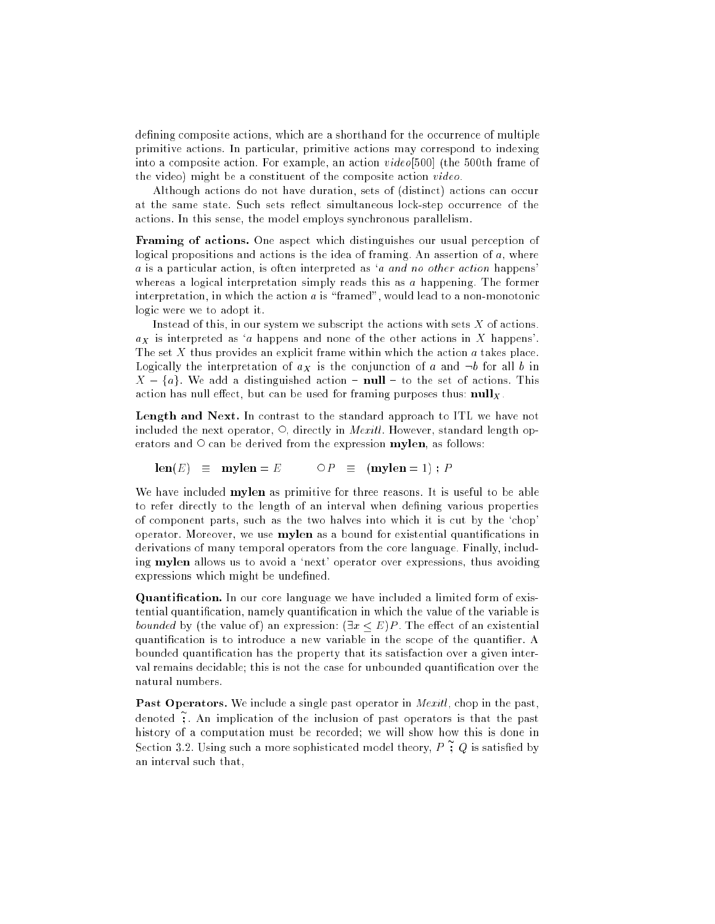defining composite actions, which are a shorthand for the occurrence of multiple primitive actions. In particular, primitive actions may correspond to indexing into a composite action. For example, an action  $video[500]$  (the 500th frame of the video) might be a constituent of the composite action video.

Although actions do not have duration, sets of (distinct) actions can occur at the same state. Such sets reflect simultaneous lock-step occurrence of the actions. In this sense, the model employs synchronous parallelism.

Framing of actions. One aspect which distinguishes our usual perception of logical propositions and actions is the idea of framing. An assertion of  $a$ , where a is a particular action, is often interpreted as 'a and no other action happens' whereas a logical interpretation simply reads this as  $a$  happening. The former interpretation, in which the action  $a$  is "framed", would lead to a non-monotonic logic were we to adopt it.

Instead of this, in our system we subscript the actions with sets  $X$  of actions.  $a_X$  is interpreted as 'a happens and none of the other actions in X happens'. The set  $X$  thus provides an explicit frame within which the action  $a$  takes place. Logically the interpretation of  $a_X$  is the conjunction of a and  $\neg b$  for all b in  $X - \{a\}$ . We add a distinguished action  $-$  null  $-$  to the set of actions. This action has null effect, but can be used for framing purposes thus:  $\textbf{null}_X$ .

Length and Next. In contrast to the standard approach to ITL we have not included the next operator,  $\circ$ , directly in *Mexitl*. However, standard length operators and  $\circ$  can be derived from the expression mylen, as follows:

$$
len(E) \equiv mylen = E
$$
  $OP \equiv (mylen = 1); P$ 

We have included **mylen** as primitive for three reasons. It is useful to be able to refer directly to the length of an interval when defining various properties of component parts, such as the two halves into which it is cut by the `chop' operator. Moreover, we use mylen as a bound for existential quantifications in derivations of many temporal operators from the core language. Finally, including mylen allows us to avoid a 'next' operator over expressions, thus avoiding expressions which might be undefined.

Quantification. In our core language we have included a limited form of existential quantication, namely quantication in which the value of the variable is bounded by (the value of) an expression:  $(\exists x \leq E)P$ . The effect of an existential quantication is to introduce a new variable in the scope of the quantier. A bounded quantication has the property that its satisfaction over a given interval remains decidable; this is not the case for unbounded quantification over the natural numbers.

Past Operators. We include a single past operator in *Mexitl*, chop in the past, denoted ; . An implication of the inclusion of past operators is that the past history of a computation must be recorded; we will show how this is done in Section 3.2. Using such a more sophisticated model theory,  $P$  ;  $Q$  is satisfied by an interval such that,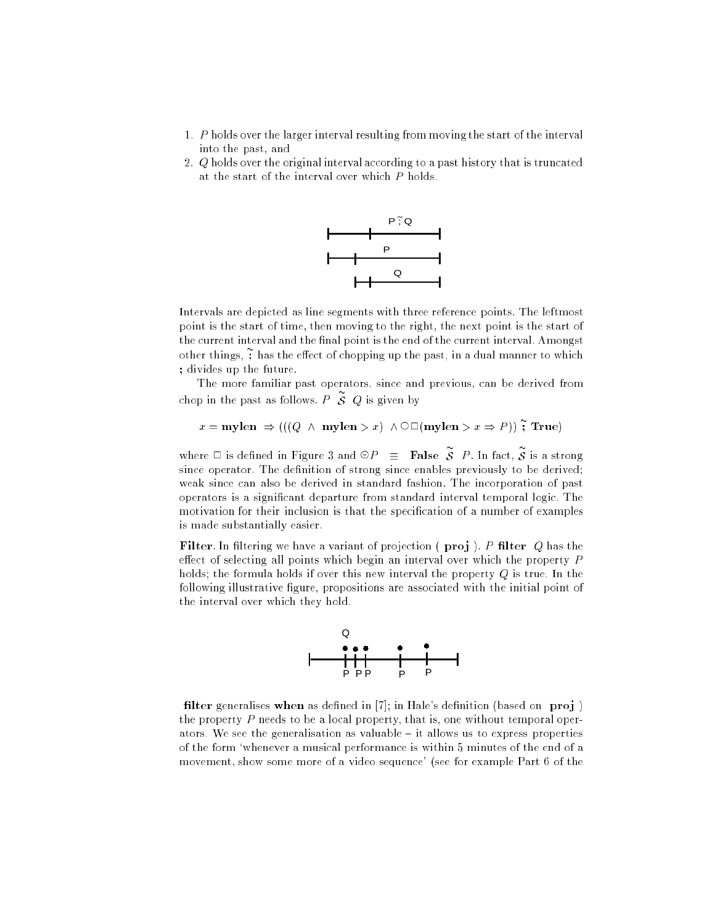- 1. P holds over the larger interval resulting from moving the start of the interval into the past, and
- 2. Q holds over the original interval according to a past history that is truncated at the start of the interval over which P holds.



Intervals are depicted as line segments with three reference points. The leftmost point is the start of time, then moving to the right, the next point is the start of the current interval and the final point is the end of the current interval. Amongst other things,; has the effect of chopping up the past, in a dual manner to which ; divides up the future.

The more familiar past operators, since and previous, can be derived from chop in the past as follows.  $P \mathcal{S}$  $\mathcal S$  Q is given by

$$
x = \mathbf{mylen} \Rightarrow (((Q \land \mathbf{mylen} > x) \land \bigcirc \Box(\mathbf{mylen} > x \Rightarrow P)) \stackrel{\sim}{,} \mathbf{True})
$$

where  $\Box$  is defined in Figure 3 and  $\Theta P \equiv$  False S  $S$  P. In fact,  $S$  $\mathbf{v}$  is a strong since operator. The definition of strong since enables previously to be derived; weak since can also be derived in standard fashion. The incorporation of past operators is a signicant departure from standard interval temporal logic. The motivation for their inclusion is that the specification of a number of examples is made substantially easier.

Filter. In filtering we have a variant of projection  $($  proj  $)$ . P filter  $Q$  has the effect of selecting all points which begin an interval over which the property  $P$ holds; the formula holds if over this new interval the property  $Q$  is true. In the following illustrative figure, propositions are associated with the initial point of the interval over which they hold.



filter generalises when as defined in  $[7]$ ; in Hale's definition (based on proj) the property  $P$  needs to be a local property, that is, one without temporal operators. We see the generalisation as valuable  $-$  it allows us to express properties of the form `whenever a musical performance is within 5 minutes of the end of a movement, show some more of a video sequence' (see for example Part 6 of the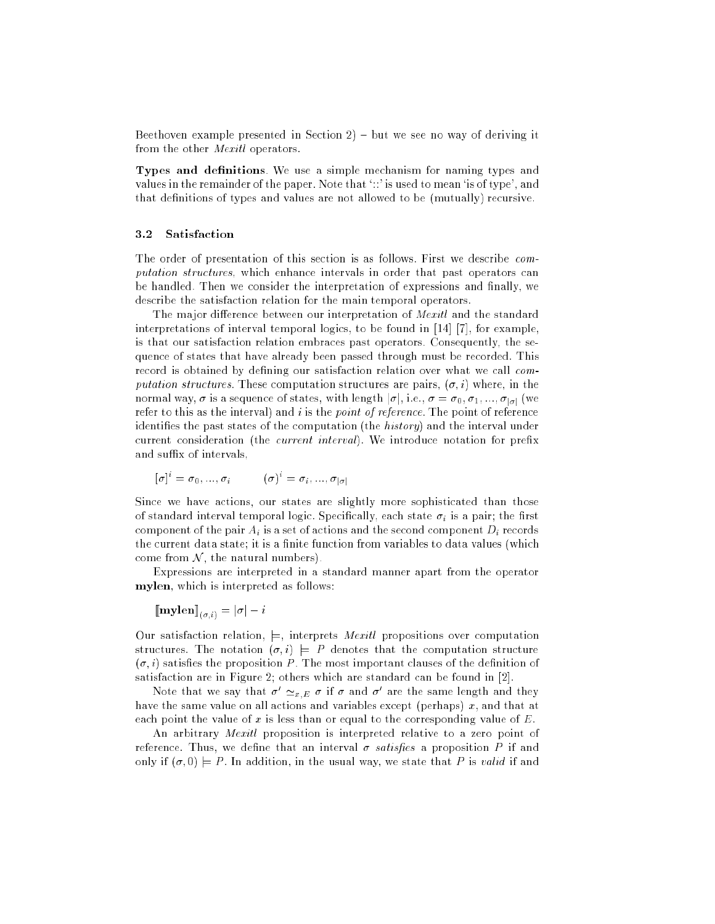Beethoven example presented in Section  $2$ ) – but we see no way of deriving it from the other Mexitl operators.

Types and definitions. We use a simple mechanism for naming types and values in the remainder of the paper. Note that `::' is used to mean `is of type', and that definitions of types and values are not allowed to be (mutually) recursive.

#### 3.2 Satisfaction

The order of presentation of this section is as follows. First we describe computation structures, which enhance intervals in order that past operators can be handled. Then we consider the interpretation of expressions and finally, we describe the satisfaction relation for the main temporal operators.

The major difference between our interpretation of *Mexitl* and the standard interpretations of interval temporal logics, to be found in [14] [7], for example, is that our satisfaction relation embraces past operators. Consequently, the sequence of states that have already been passed through must be recorded. This record is obtained by defining our satisfaction relation over what we call *com*putation structures. These computation structures are pairs,  $(\sigma, i)$  where, in the normal way,  $\sigma$  is a sequence of states, with length  $|\sigma|$ , i.e.,  $\sigma = \sigma_0, \sigma_1, ..., \sigma_{|\sigma|}$  (we refer to this as the interval) and  $i$  is the *point of reference*. The point of reference identifies the past states of the computation (the history) and the interval under current consideration (the *current interval*). We introduce notation for prefix and suffix of intervals,

$$
[\sigma]^i = \sigma_0, \dots, \sigma_i \qquad (\sigma)^i = \sigma_i, \dots, \sigma_{|\sigma|}
$$

Since we have actions, our states are slightly more sophisticated than those of standard interval temporal logic. Specifically, each state  $\sigma_i$  is a pair; the first component of the pair  $A_i$  is a set of actions and the second component  $D_i$  records the current data state; it is a finite function from variables to data values (which come from  $N$ , the natural numbers).

Expressions are interpreted in a standard manner apart from the operator mylen, which is interpreted as follows:

 $\llbracket \mathbf{mylen} \rrbracket_{(\sigma,i)} = |\sigma| - i$ 

Our satisfaction relation,  $\models$ , interprets *Mexitl* propositions over computation structures. The notation  $(\sigma, i) \models P$  denotes that the computation structure  $(\sigma, i)$  satisfies the proposition P. The most important clauses of the definition of satisfaction are in Figure 2; others which are standard can be found in [2].

Note that we say that  $\sigma' \simeq_{x,E} \sigma$  if  $\sigma$  and  $\sigma'$  are the same length and they have the same value on all actions and variables except (perhaps)  $x$ , and that at each point the value of  $x$  is less than or equal to the corresponding value of  $E$ .

An arbitrary Mexitl proposition is interpreted relative to a zero point of reference. Thus, we define that an interval  $\sigma$  satisfies a proposition P if and only if  $(\sigma, 0) \models P$ . In addition, in the usual way, we state that P is valid if and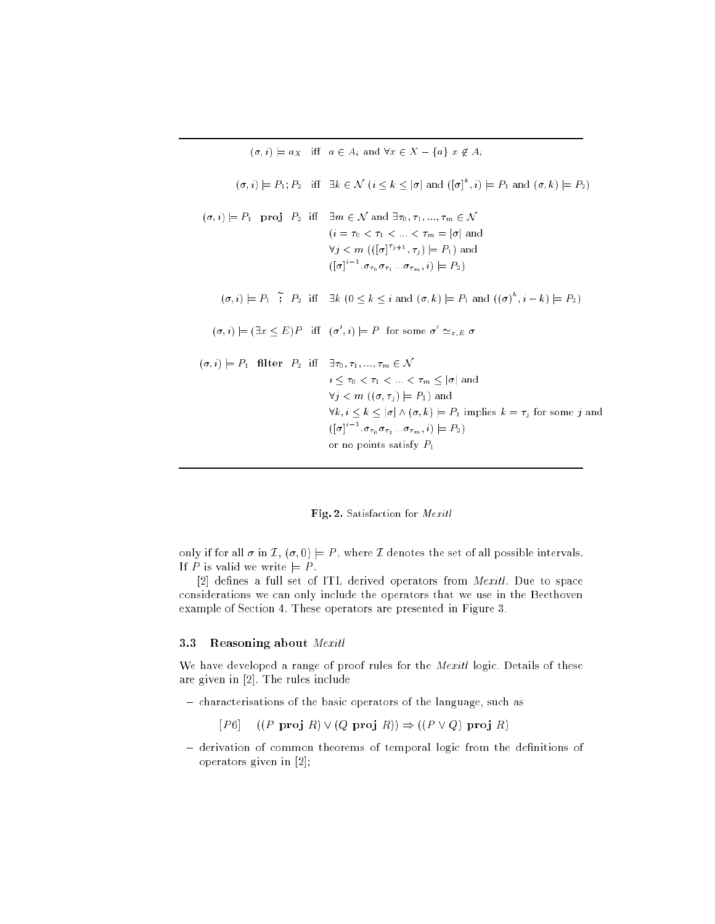$(\sigma, i) \models a_X$  iff  $a \in A_i$  and  $\forall x \in X - \{a\} \ x \notin A_i$  $(\sigma, i) \models P_1; P_2$  iff  $\exists k \in \mathcal{N}$   $(i \leq k \leq |\sigma|$  and  $([\sigma]^k, i) \models P_1$  and  $(\sigma, k) \models P_2$  $(\sigma, i) \models P_1$  proj  $P_2$  iff  $\exists m \in \mathcal{N}$  and  $\exists \tau_0, \tau_1, ..., \tau_m \in \mathcal{N}$  $(i = \tau_0 < \tau_1 < \ldots < \tau_m = |\sigma|$  and  $\forall j < m \ (([\sigma]^{\tau_{j+1}}, \tau_j) \models P_1)$  and  $([\sigma]^{i-1} \, \sigma_{\tau_0} \sigma_{\tau_1} \dots \sigma_{\tau_m}, i) \models P_2)$  $(\sigma, i) \models P_1$ ;  $P_2$  iff  $\exists k \ (0 \le k \le i \text{ and } (\sigma, k) \models P_1 \text{ and } ((\sigma)^k, i - k) \models P_2)$  $(\sigma, i) \models (\exists x \leq E)P$  iff  $(\sigma', i) \models P$  for some  $\sigma' \simeq_{x,E} \sigma$  $(\sigma, i) \models P_1$  filter  $P_2$  iff  $\exists \tau_0, \tau_1, ..., \tau_m \in \mathcal{N}$  $i \leq \tau_0 < \tau_1 < \ldots < \tau_m \leq |\sigma|$  and  $\forall j \leq m \ (\ (\sigma, \tau_i) \models P_1) \text{ and}$  $\forall k, i \leq k \leq |\sigma| \wedge (\sigma, k) \models P_1$  implies  $k = \tau_j$  for some j and  $([\sigma]^{i-1} \, \sigma_{\tau_0} \sigma_{\tau_1} \dots \sigma_{\tau_m}, i) \models P_2)$ or no points satisfy  $P_1$ 

Fig. 2. Satisfaction for Mexitl

only if for all  $\sigma$  in  $\mathcal{I}, (\sigma, 0) \models P$ , where  $\mathcal{I}$  denotes the set of all possible intervals. If P is valid we write  $\models P$ .

[2] defines a full set of ITL derived operators from Mexitl. Due to space considerations we can only include the operators that we use in the Beethoven example of Section 4. These operators are presented in Figure 3.

#### 3.3 Reasoning about Mexitl

We have developed a range of proof rules for the *Mexitl* logic. Details of these are given in [2]. The rules include

 $=$  characterisations of the basic operators of the language, such as

 $[P6]$   $((P \text{ proj } R) \vee (Q \text{ proj } R)) \Rightarrow ((P \vee Q) \text{ proj } R)$ 

- derivation of common theorems of temporal logic from the definitions of operators given in [2];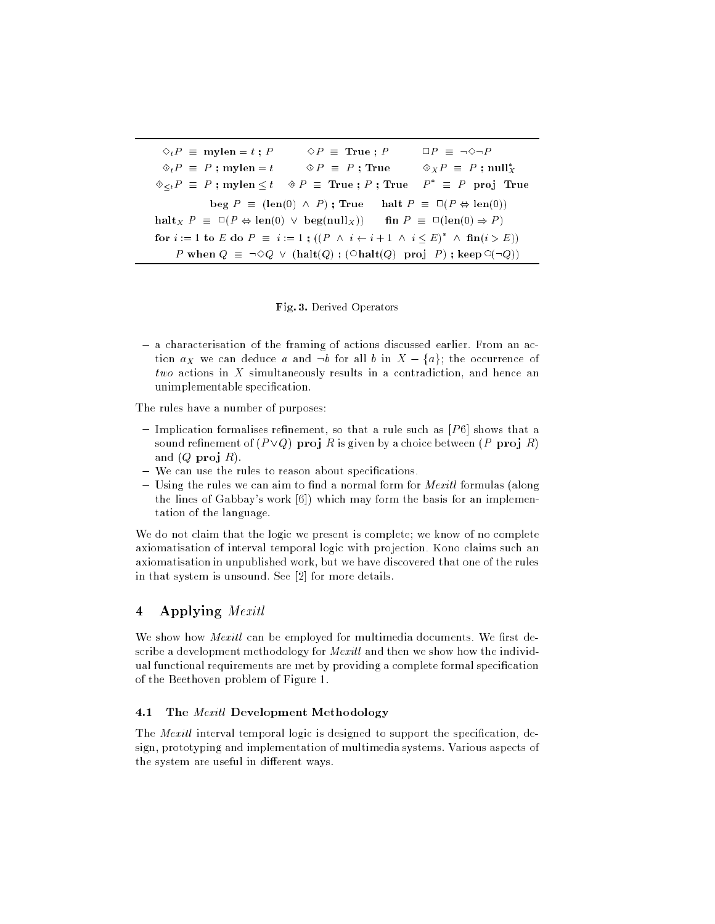| $\Diamond_t P \equiv \text{mylen} = t$ ; P                                                                                                            | $\Diamond P \equiv$ True : P    | $\Box P \equiv \neg \Diamond \neg P$       |
|-------------------------------------------------------------------------------------------------------------------------------------------------------|---------------------------------|--------------------------------------------|
| $\Phi_t P \equiv P$ ; mylen = t                                                                                                                       | $\mathcal{D} P \equiv P$ : True | $\oint_{X} P \equiv P$ ; null <sup>*</sup> |
| $\Diamond_{\leq t} P \equiv P$ ; mylen $\leq t$ $\Diamond P \equiv$ True; P; True                                                                     |                                 | $P^* \equiv P$ proj True                   |
| halt $P \equiv \Box (P \Leftrightarrow \text{len}(0))$<br>beg $P \equiv (\text{len}(0) \land P)$ ; True                                               |                                 |                                            |
| halt <sub>x</sub> $P \equiv \Box (P \Leftrightarrow \text{len}(0) \lor \text{beg}( \text{null}_X))$ fin $P \equiv \Box (\text{len}(0) \Rightarrow P)$ |                                 |                                            |
| for $i := 1$ to E do P $\equiv i := 1$ ; $((P \wedge i \leftarrow i + 1 \wedge i \leq E)^* \wedge \text{fin}(i > E))$                                 |                                 |                                            |
| P when $Q \equiv \neg \Diamond Q \lor (\text{halt}(Q) ; (\Diamond \text{halt}(Q) \text{ proj } P) ; \text{keep } \Diamond (\neg Q))$                  |                                 |                                            |

#### Fig. 3. Derived Operators

 $-$  a characterisation of the framing of actions discussed earlier. From an action  $a_X$  we can deduce a and  $\neg b$  for all b in  $X - \{a\}$ ; the occurrence of two actions in X simultaneously results in a contradiction, and hence an unimplementable specification.

The rules have a number of purposes:

- $-$  Implication formalises refinement, so that a rule such as  $[P6]$  shows that a sound refinement of  $(P \vee Q)$  proj R is given by a choice between  $(P \text{ proj } R)$ and  $(Q \text{ proj } R)$ .
- $-$  We can use the rules to reason about specifications.
- ${\bf -}$  Using the rules we can aim to find a normal form for *Mexitl* formulas (along the lines of Gabbay's work [6]) which may form the basis for an implementation of the language.

We do not claim that the logic we present is complete; we know of no complete axiomatisation of interval temporal logic with projection. Kono claims such an axiomatisation in unpublished work, but we have discovered that one of the rules in that system is unsound. See [2] for more details.

## 4 Applying *Mexitl*

We show how *Mexitl* can be employed for multimedia documents. We first describe a development methodology for  $Mexitl$  and then we show how the individual functional requirements are met by providing a complete formal specication of the Beethoven problem of Figure 1.

#### 4.1 The Mexitl Development Methodology

The *Mexitl* interval temporal logic is designed to support the specification, design, prototyping and implementation of multimedia systems. Various aspects of the system are useful in different ways.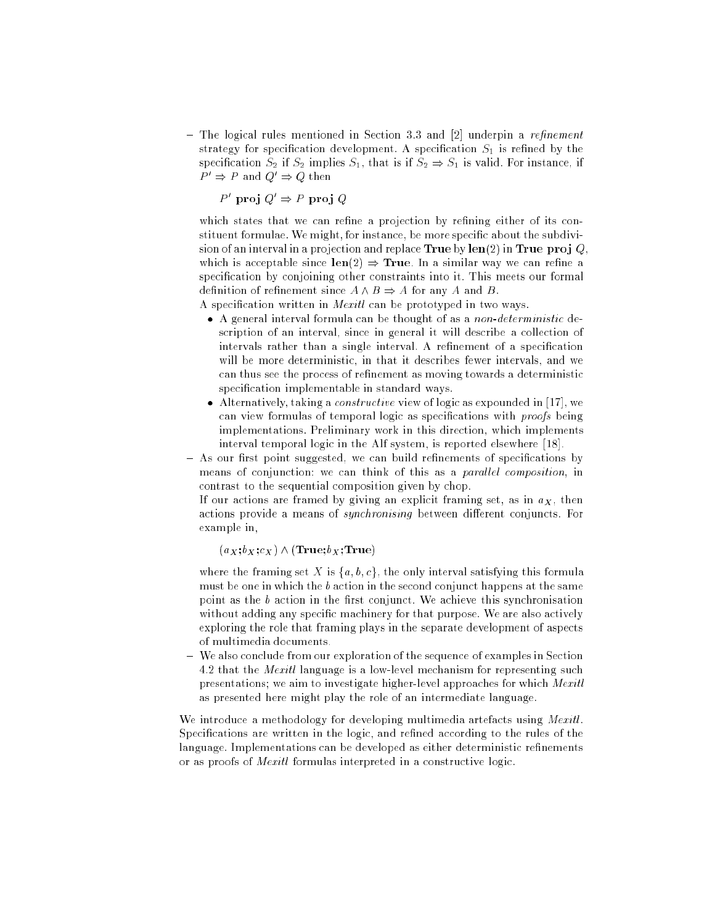$-$  The logical rules mentioned in Section 3.3 and [2] underpin a *refinement* strategy for specification development. A specification  $S_1$  is refined by the specification  $S_2$  if  $S_2$  implies  $S_1$ , that is if  $S_2 \Rightarrow S_1$  is valid. For instance, if  $P' \Rightarrow P$  and  $Q' \Rightarrow Q$  then

 $P'$  proj  $Q' \Rightarrow P$  proj  $Q$ 

which states that we can refine a projection by refining either of its constituent formulae. We might, for instance, be more specific about the subdivision of an interval in a projection and replace True by  $len(2)$  in True proj Q which is acceptable since  $\text{len}(2) \Rightarrow \text{True}$ . In a similar way we can refine a specification by conjoining other constraints into it. This meets our formal definition of refinement since  $A \wedge B \Rightarrow A$  for any A and B.

- ${\bf A}$  specification written in *Mexitl* can be prototyped in two ways.
	- A general interval formula can be thought of as a non-deterministic description of an interval, since in general it will describe a collection of intervals rather than a single interval. A refinement of a specification will be more deterministic, in that it describes fewer intervals, and we can thus see the process of refinement as moving towards a deterministic specification implementable in standard ways.
	- Alternatively, taking a constructive view of logic as expounded in [17], we can view formulas of temporal logic as specifications with *proofs* being implementations. Preliminary work in this direction, which implements interval temporal logic in the Alf system, is reported elsewhere [18].
- $-$  As our first point suggested, we can build refinements of specifications by means of conjunction: we can think of this as a *parallel composition*, in contrast to the sequential composition given by chop.

If our actions are framed by giving an explicit framing set, as in  $a_X$ , then actions provide a means of *synchronising* between different conjuncts. For example in,

 $(a_X; b_X; c_X) \wedge ({\bf True}; b_X; {\bf True})$ 

where the framing set X is  $\{a, b, c\}$ , the only interval satisfying this formula must be one in which the  $b$  action in the second conjunct happens at the same point as the  $b$  action in the first conjunct. We achieve this synchronisation without adding any specic machinery for that purpose. We are also actively exploring the role that framing plays in the separate development of aspects of multimedia documents.

{ We also conclude from our exploration of the sequence of examples in Section 4.2 that the *Mexitl* language is a low-level mechanism for representing such presentations; we aim to investigate higher-level approaches for which Mexitl as presented here might play the role of an intermediate language.

We introduce a methodology for developing multimedia artefacts using Mexitl. Specifications are written in the logic, and refined according to the rules of the language. Implementations can be developed as either deterministic refinements or as proofs of Mexitl formulas interpreted in a constructive logic.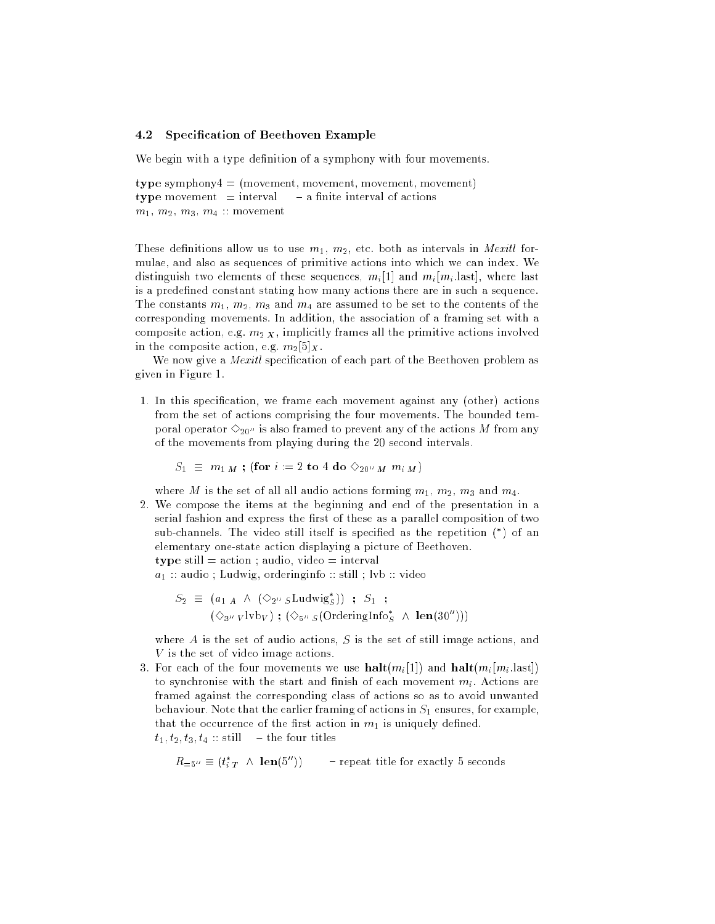#### 4.2 Specication of Beethoven Example

We begin with a type definition of a symphony with four movements.

 $type$  symphony $4 =$  (movement, movement, movement, movement) type movement  $=$  interval  $-$  a finite interval of actions  $m_1, m_2, m_3, m_4$  :: movement

These definitions allow us to use  $m_1, m_2$ , etc. both as intervals in *Mexitl* formulae, and also as sequences of primitive actions into which we can index. We distinguish two elements of these sequences,  $m_i[1]$  and  $m_i[m_i].$  and, where last is a predefined constant stating how many actions there are in such a sequence. The constants  $m_1$ ,  $m_2$ ,  $m_3$  and  $m_4$  are assumed to be set to the contents of the corresponding movements. In addition, the association of a framing set with a composite action, e.g.  $m_2$  x, implicitly frames all the primitive actions involved in the composite action, e.g.  $m_2[5]_X$ .

We now give a *Mexitl* specification of each part of the Beethoven problem as given in Figure 1.

1. In this specication, we frame each movement against any (other) actions from the set of actions comprising the four movements. The bounded temporal operator  $\Diamond_{20^{\prime\prime}}$  is also framed to prevent any of the actions M from any of the movements from playing during the 20 second intervals.

 $S_1 \equiv m_1 M$  ; (for  $i := 2$  to 4 do  $\Diamond_{20^{\prime\prime} M} m_i M$ )

where M is the set of all all audio actions forming  $m_1, m_2, m_3$  and  $m_4$ .

2. We compose the items at the beginning and end of the presentation in a serial fashion and express the first of these as a parallel composition of two sub-channels. The video still itself is specified as the repetition ( ) of an elementary one-state action displaying a picture of Beethoven.

type still  $=$  action ; audio, video  $=$  interval

 $a_1$ : audio ; Ludwig, orderinginfo :: still ; lvb :: video

$$
S_2 \equiv (a_{1 \ A} \ \land \ (\Diamond_{2^{\prime\prime} S} \text{Ludwig}^*_S)) \ ; \ S_1 \ ;
$$
  

$$
(\Diamond_{3^{\prime\prime} V} \text{lvb}_V) \ ; \ (\Diamond_{5^{\prime\prime} S} (\text{OrderingInfo}^*_S \ \land \ \text{len}(30^{\prime\prime})))
$$

where  $A$  is the set of audio actions,  $S$  is the set of still image actions, and V is the set of video image actions.

3. For each of the four movements we use  $\textbf{halt}(m_i[1])$  and  $\textbf{halt}(m_i[m_i].\text{last}])$ to synchronise with the start and finish of each movement  $m_i$ . Actions are framed against the corresponding class of actions so as to avoid unwanted behaviour. Note that the earlier framing of actions in  $S_1$  ensures, for example, that the occurrence of the first action in  $m_1$  is uniquely defined.  $t_1, t_2, t_3, t_4$ :: still  $\qquad$  - the four titles

 $R_{\pm5^{\prime\prime}}\equiv(t^*_i)$  $\overline{\ }$  - repeat title for exactly 5 seconds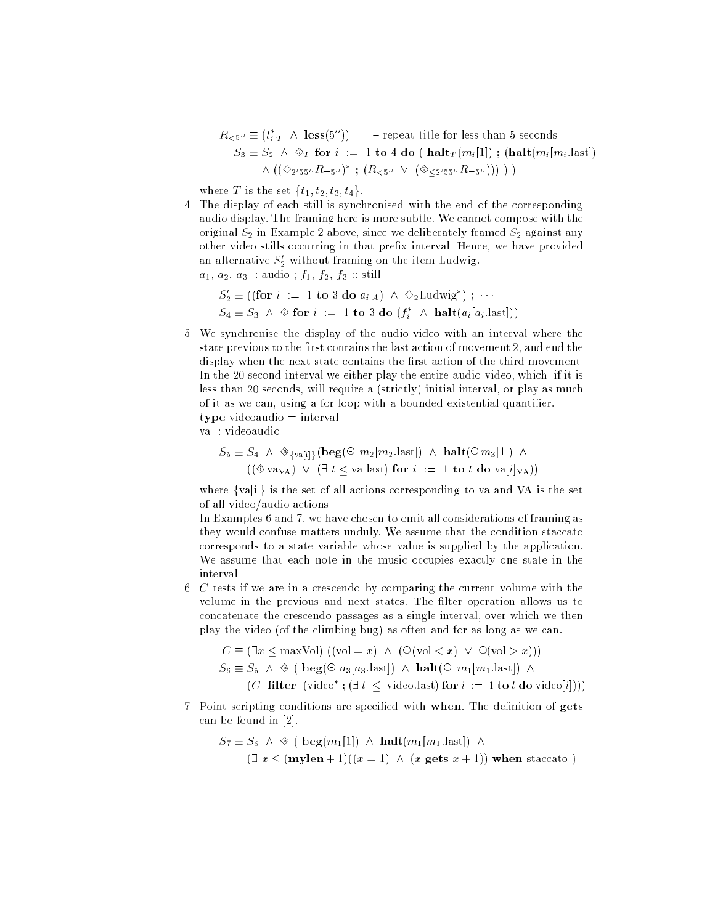$R_{\leq 5^{\prime\prime}} \equiv (t^*_{i\,T} \ \wedge \ \textbf{less}(5^{\prime\prime})) \qquad \text{-- repeat title for less than 5 seconds}$  $S_3 \equiv S_2 \;\wedge\; \hat\otimes_T \; \textbf{for} \; i \; := \; 1 \; \textbf{to} \; 4 \; \textbf{do} \; ( \; \textbf{halt}_T (m_i[1]) \; ; \; (\textbf{halt}(m_i[m_i.last]))$  $\wedge$   $((\otimes_{2'55''}R_{\pm5''})^*$  ;  $(R_{<5''}\ \vee\ (\otimes_{<2'55''}R_{\pm5''})))$  ))

where T is the set  $\{t_1, t_2, t_3, t_4\}$ .

4. The display of each still is synchronised with the end of the corresponding audio display. The framing here is more subtle. We cannot compose with the original  $S_2$  in Example 2 above, since we deliberately framed  $S_2$  against any other video stills occurring in that prefix interval. Hence, we have provided an alternative  $S_2'$  without framing on the item Ludwig.  $a_1, a_2, a_3$ : audio;  $f_1, f_2, f_3$ : still

$$
S'_2 \equiv ((\mathbf{for } i := 1 \mathbf{to} 3 \mathbf{do } a_{i \mathbf{A}}) \wedge \Diamond_2 \mathbf{Ludwig}^*); \cdots
$$
  

$$
S_4 \equiv S_3 \wedge \Diamond \mathbf{for } i := 1 \mathbf{to} 3 \mathbf{do } (f_i^* \wedge \mathbf{halt}(a_i[a_i.\mathbf{last}]))
$$

5. We synchronise the display of the audio-video with an interval where the state previous to the first contains the last action of movement 2, and end the display when the next state contains the first action of the third movement. In the 20 second interval we either play the entire audio-video, which, if it is less than 20 seconds, will require a (strictly) initial interval, or play as much of it as we can, using a for loop with a bounded existential quantier.  $type$  videoaudio  $=$  interval

va :: videoaudio

$$
S_5 \equiv S_4 \land \diamondsuit_{\{\text{val}[i]\}}(\text{beg}(\odot m_2[m_2. \text{last}]) \land \text{halt}(\odot m_3[1]) \land
$$

$$
((\diamondsuit \text{vav}_A) \lor (\exists t \leq \text{va}. \text{last}) \text{ for } i := 1 \text{ to } t \text{ do } \text{val}[i] \text{va}))
$$

where  $\{val\}$  is the set of all actions corresponding to va and VA is the set of all video/audio actions.

In Examples 6 and 7, we have chosen to omit all considerations of framing as they would confuse matters unduly. We assume that the condition staccato corresponds to a state variable whose value is supplied by the application. We assume that each note in the music occupies exactly one state in the interval.

6.  $C$  tests if we are in a crescendo by comparing the current volume with the volume in the previous and next states. The filter operation allows us to concatenate the crescendo passages as a single interval, over which we then play the video (of the climbing bug) as often and for as long as we can.

$$
C \equiv (\exists x \le \text{maxVol}) \ ((\text{vol} = x) \ \wedge \ (\odot(\text{vol} < x) \ \vee \ \odot(\text{vol} > x)))
$$
\n
$$
S_6 \equiv S_5 \ \wedge \ \circ \ (\text{beg}(\odot a_3[a_3.\text{last}]) \ \wedge \ \text{halt}(\odot m_1[m_1.\text{last}]) \ \wedge \ \ (C \ \text{filter} \ (\text{video}^* \colon (\exists t < \text{video}.\text{last}) \ \text{for} \ i := 1 \ \text{to} \ t \ \text{do} \ \text{video}[i]))
$$

7. Point scripting conditions are specified with when. The definition of gets can be found in [2].

$$
S_7 \equiv S_6 \land \textcircled{*} (\text{beg}(m_1[1]) \land \text{halt}(m_1[m_1.\text{last}]) \land (\exists x \le (\text{mylen} + 1)((x = 1) \land (x \text{ gets } x + 1)) \text{ when } \text{staccato})
$$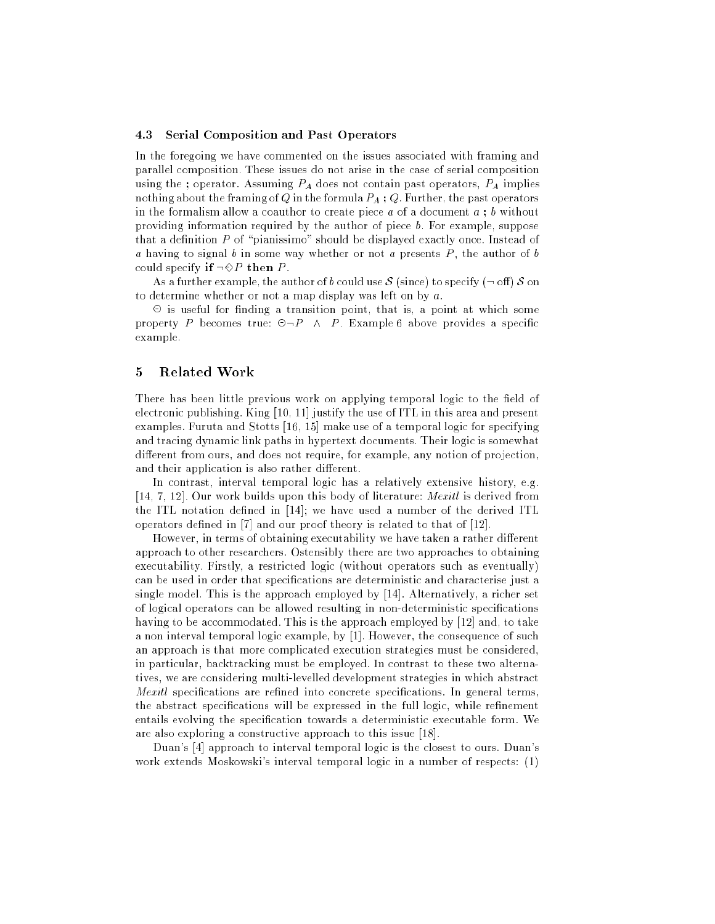#### 4.3 Serial Composition and Past Operators

In the foregoing we have commented on the issues associated with framing and parallel composition. These issues do not arise in the case of serial composition using the ; operator. Assuming  $P_A$  does not contain past operators,  $P_A$  implies nothing about the framing of Q in the formula  $P_A$ ; Q. Further, the past operators in the formalism allow a coauthor to create piece  $a$  of a document  $a$ ;  $b$  without providing information required by the author of piece b. For example, suppose that a definition  $P$  of "pianissimo" should be displayed exactly once. Instead of a having to signal b in some way whether or not a presents  $P$ , the author of b could specify if  $\neg \Diamond P$  then P.

As a further example, the author of b could use  $S$  (since) to specify ( $\neg$  off) S on to determine whether or not a map display was left on by a.

 $\sim$  is useful for midning a transition point, that is, a point at which some property P becomes true:  $\Theta \neg P \land P$ . Example 6 above provides a specific example.

### 5 Related Work

There has been little previous work on applying temporal logic to the field of electronic publishing. King [10, 11] justify the use of ITL in this area and present examples. Furuta and Stotts [16, 15] make use of a temporal logic for specifying and tracing dynamic link paths in hypertext documents. Their logic is somewhat different from ours, and does not require, for example, any notion of projection, and their application is also rather different.

In contrast, interval temporal logic has a relatively extensive history, e.g. [14, 7, 12]. Our work builds upon this body of literature: Mexitl is derived from the ITL notation defined in  $[14]$ ; we have used a number of the derived ITL operators defined in  $[7]$  and our proof theory is related to that of  $[12]$ .

However, in terms of obtaining executability we have taken a rather different approach to other researchers. Ostensibly there are two approaches to obtaining executability. Firstly, a restricted logic (without operators such as eventually) can be used in order that specifications are deterministic and characterise just a single model. This is the approach employed by [14]. Alternatively, a richer set of logical operators can be allowed resulting in non-deterministic specications having to be accommodated. This is the approach employed by [12] and, to take a non interval temporal logic example, by [1]. However, the consequence of such an approach is that more complicated execution strategies must be considered, in particular, backtracking must be employed. In contrast to these two alternatives, we are considering multi-levelled development strategies in which abstract Mexitl specications are rened into concrete specications. In general terms, the abstract specifications will be expressed in the full logic, while refinement entails evolving the specication towards a deterministic executable form. We are also exploring a constructive approach to this issue [18].

Duan's [4] approach to interval temporal logic is the closest to ours. Duan's work extends Moskowski's interval temporal logic in a number of respects: (1)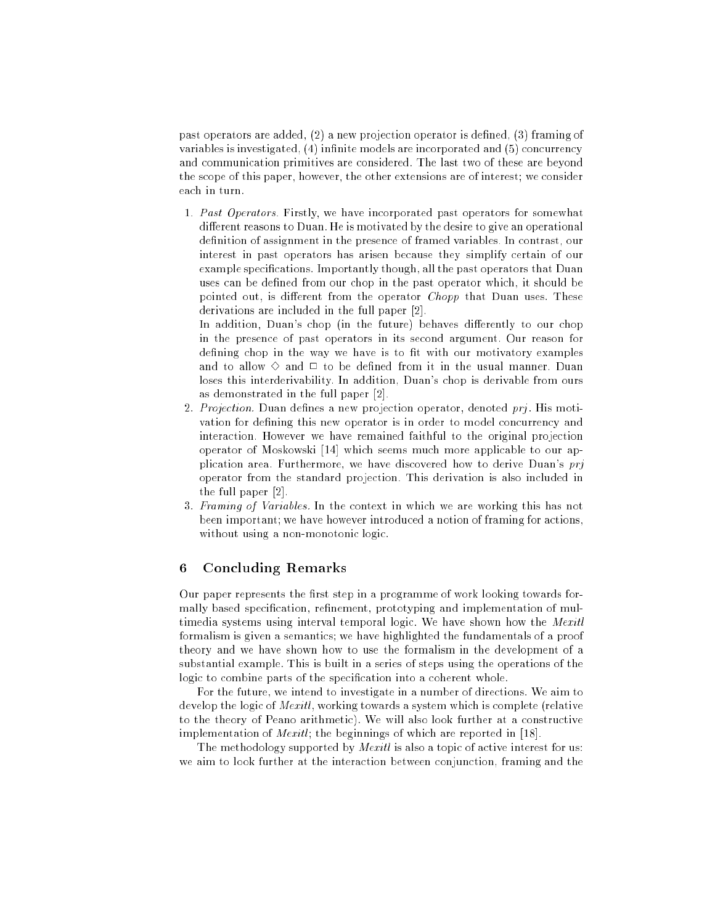past operators are added,  $(2)$  a new projection operator is defined,  $(3)$  framing of variables is investigated,  $(4)$  infinite models are incorporated and  $(5)$  concurrency and communication primitives are considered. The last two of these are beyond the scope of this paper, however, the other extensions are of interest; we consider each in turn.

1. Past Operators. Firstly, we have incorporated past operators for somewhat different reasons to Duan. He is motivated by the desire to give an operational definition of assignment in the presence of framed variables. In contrast, our interest in past operators has arisen because they simplify certain of our example specifications. Importantly though, all the past operators that Duan uses can be defined from our chop in the past operator which, it should be pointed out, is different from the operator Chopp that Duan uses. These derivations are included in the full paper [2].

In addition, Duan's chop (in the future) behaves differently to our chop in the presence of past operators in its second argument. Our reason for defining chop in the way we have is to fit with our motivatory examples and to allow  $\diamond$  and  $\Box$  to be defined from it in the usual manner. Duan loses this interderivability. In addition, Duan's chop is derivable from ours as demonstrated in the full paper [2].

- 2. Projection. Duan defines a new projection operator, denoted  $prj$ . His motivation for defining this new operator is in order to model concurrency and interaction. However we have remained faithful to the original projection operator of Moskowski [14] which seems much more applicable to our application area. Furthermore, we have discovered how to derive Duan's prj operator from the standard projection. This derivation is also included in the full paper [2].
- 3. Framing of Variables. In the context in which we are working this has not been important; we have however introduced a notion of framing for actions, without using a non-monotonic logic.

#### 6 6 Concluding Remarks

Our paper represents the first step in a programme of work looking towards formally based specification, refinement, prototyping and implementation of multimedia systems using interval temporal logic. We have shown how the Mexitl formalism is given a semantics; we have highlighted the fundamentals of a proof theory and we have shown how to use the formalism in the development of a substantial example. This is built in a series of steps using the operations of the logic to combine parts of the specification into a coherent whole.

For the future, we intend to investigate in a number of directions. We aim to develop the logic of *Mexitl*, working towards a system which is complete (relative to the theory of Peano arithmetic). We will also look further at a constructive implementation of *Mexitl*; the beginnings of which are reported in [18].

The methodology supported by *Mexitl* is also a topic of active interest for us: we aim to look further at the interaction between conjunction, framing and the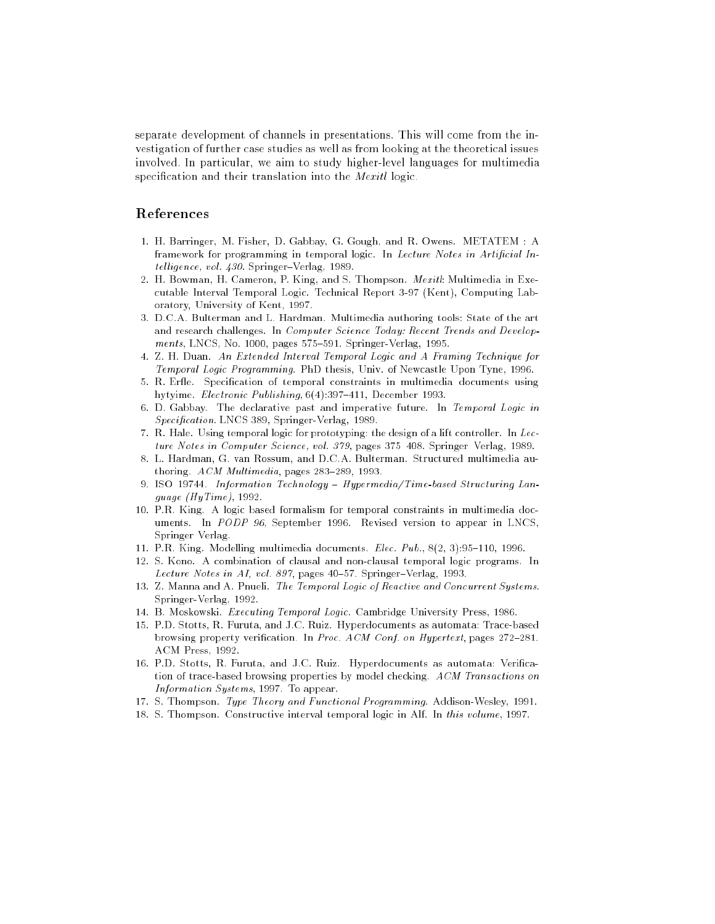separate development of channels in presentations. This will come from the investigation of further case studies as well as from looking at the theoretical issues involved. In particular, we aim to study higher-level languages for multimedia specification and their translation into the *Mexitl* logic.

## References

- 1. H. Barringer, M. Fisher, D. Gabbay, G. Gough, and R. Owens. METATEM : A framework for programming in temporal logic. In Lecture Notes in Artificial Intelligence, vol. 430. Springer-Verlag, 1989.
- 2. H. Bowman, H. Cameron, P. King, and S. Thompson. Mexitl: Multimedia in Executable Interval Temporal Logic. Technical Report 3-97 (Kent), Computing Laboratory, University of Kent, 1997.
- 3. D.C.A. Bulterman and L. Hardman. Multimedia authoring tools: State of the art and research challenges. In Computer Science Today: Recent Trends and Develop $ments, LNCS, No. 1000, pages 575-591. Springer-Verlag, 1995.$
- 4. Z. H. Duan. An Extended Interval Temporal Logic and A Framing Technique for Temporal Logic Programming. PhD thesis, Univ. of Newcastle Upon Tyne, 1996.
- 5. R. Er
e. Specication of temporal constraints in multimedia documents using hytyime. *Electronic Publishing*,  $6(4):397-411$ , December 1993.
- 6. D. Gabbay. The declarative past and imperative future. In Temporal Logic in Specification. LNCS 389, Springer-Verlag, 1989.
- 7. R. Hale. Using temporal logic for prototyping: the design of a lift controller. In Lecture Notes in Computer Science, vol. 379, pages 375-408. Springer-Verlag, 1989.
- 8. L. Hardman, G. van Rossum, and D.C.A. Bulterman. Structured multimedia authoring.  $ACM$  Multimedia, pages 283-289, 1993.
- 9. ISO 19744. Information Technology  $-$  Hypermedia/Time-based Structuring Language  $(HyTime)$ , 1992.
- 10. P.R. King. A logic based formalism for temporal constraints in multimedia documents. In PODP 96, September 1996. Revised version to appear in LNCS, Springer Verlag.
- 11. P.R. King. Modelling multimedia documents. *Elec. Pub.*,  $8(2, 3): 95-110, 1996$ .
- 12. S. Kono. A combination of clausal and non-clausal temporal logic programs. In Lecture Notes in AI, vol. 897, pages  $40-57$ . Springer-Verlag, 1993.
- 13. Z. Manna and A. Pnueli. The Temporal Logic of Reactive and Concurrent Systems. Springer-Verlag, 1992.
- 14. B. Moskowski. Executing Temporal Logic. Cambridge University Press, 1986.
- 15. P.D. Stotts, R. Furuta, and J.C. Ruiz. Hyperdocuments as automata: Trace-based browsing property verification. In Proc.  $ACM$  Conf. on Hypertext, pages 272-281. ACM Press, 1992.
- 16. P.D. Stotts, R. Furuta, and J.C. Ruiz. Hyperdocuments as automata: Verication of trace-based browsing properties by model checking. ACM Transactions on Information Systems, 1997. To appear.
- 17. S. Thompson. Type Theory and Functional Programming. Addison-Wesley, 1991.
- 18. S. Thompson. Constructive interval temporal logic in Alf. In this volume, 1997.